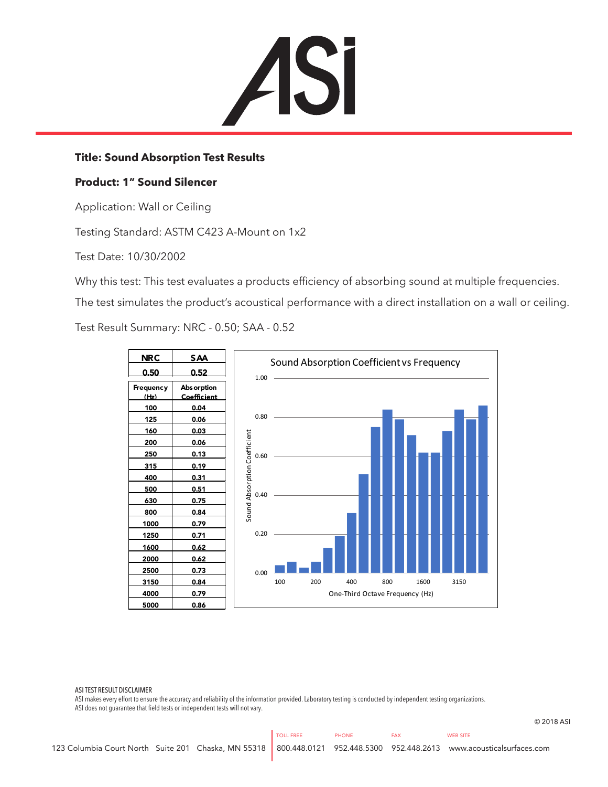

## **Title: Sound Absorption Test Results**

## **Product: 1" Sound Silencer**

Application: Wall or Ceiling

Testing Standard: ASTM C423 A-Mount on 1x2

Test Date: 10/30/2002

Why this test: This test evaluates a products efficiency of absorbing sound at multiple frequencies.

The test simulates the product's acoustical performance with a direct installation on a wall or ceiling.

Test Result Summary: NRC - 0.50; SAA - 0.52



## ASI TEST RESULT DISCLAIMER

ASI makes every effort to ensure the accuracy and reliability of the information provided. Laboratory testing is conducted by independent testing organizations. ASI does not guarantee that field tests or independent tests will not vary.

© 2018 ASI